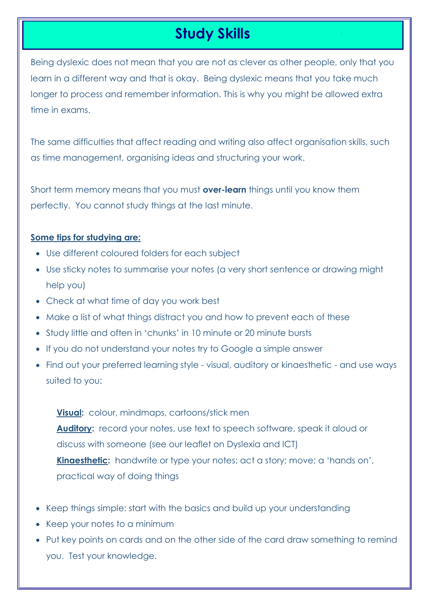# **Study Skills**

Being dyslexic does not mean that you are not as clever as other people, only that you learn in a different way and that is okay. Being dyslexic means that you take much longer to process and remember information. This is why you might be allowed extra time in exams.

The same difficulties that affect reading and writing also affect organisation skills, such as time management, organising ideas and structuring your work.

Short term memory means that you must **over-learn** things until you know them perfectly. You cannot study things at the last minute.

## **Some tips for studying are:**

- Use different coloured folders for each subject
- Use sticky notes to summarise your notes (a very short sentence or drawing might help you)
- Check at what time of day you work best
- Make a list of what things distract you and how to prevent each of these
- Study little and often in 'chunks' in 10 minute or 20 minute bursts
- If you do not understand your notes try to Google a simple answer
- Find out your preferred learning style visual, auditory or kinaesthetic and use ways suited to you:

**Visual:** colour, mindmaps, cartoons/stick men **Auditory:** record your notes, use text to speech software, speak it aloud or discuss with someone (see our leaflet on Dyslexia and ICT) **Kinaesthetic:** handwrite or type your notes; act a story; move; a 'hands on', practical way of doing things

- Keep things simple: start with the basics and build up your understanding
- Keep your notes to a minimum
- Put key points on cards and on the other side of the card draw something to remind you. Test your knowledge.